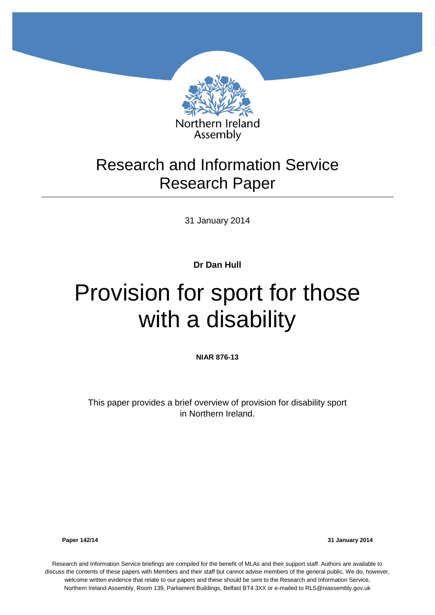

## Research and Information Service Research Paper

31 January 2014

**Dr Dan Hull**

# Provision for sport for those with a disability

**NIAR 876-13**

This paper provides a brief overview of provision for disability sport in Northern Ireland.

**Paper 142/14 31 January 2014**

Research and Information Service briefings are compiled for the benefit of MLAs and their support staff. Authors are available to discuss the contents of these papers with Members and their staff but cannot advise members of the general public. We do, however, welcome written evidence that relate to our papers and these should be sent to the Research and Information Service, Northern Ireland Assembly, Room 139, Parliament Buildings, Belfast BT4 3XX or e-mailed to RLS@niassembly.gov.uk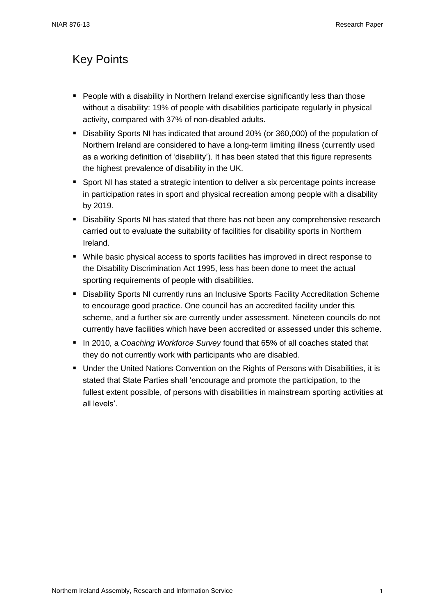## <span id="page-2-0"></span>Key Points

- **People with a disability in Northern Ireland exercise significantly less than those** without a disability: 19% of people with disabilities participate regularly in physical activity, compared with 37% of non-disabled adults.
- Disability Sports NI has indicated that around 20% (or 360,000) of the population of Northern Ireland are considered to have a long-term limiting illness (currently used as a working definition of 'disability'). It has been stated that this figure represents the highest prevalence of disability in the UK.
- **Sport NI has stated a strategic intention to deliver a six percentage points increase** in participation rates in sport and physical recreation among people with a disability by 2019.
- **Disability Sports NI has stated that there has not been any comprehensive research** carried out to evaluate the suitability of facilities for disability sports in Northern Ireland.
- While basic physical access to sports facilities has improved in direct response to the Disability Discrimination Act 1995, less has been done to meet the actual sporting requirements of people with disabilities.
- **Disability Sports NI currently runs an Inclusive Sports Facility Accreditation Scheme** to encourage good practice. One council has an accredited facility under this scheme, and a further six are currently under assessment. Nineteen councils do not currently have facilities which have been accredited or assessed under this scheme.
- In 2010, a *Coaching Workforce Survey* found that 65% of all coaches stated that they do not currently work with participants who are disabled.
- Under the United Nations Convention on the Rights of Persons with Disabilities, it is stated that State Parties shall 'encourage and promote the participation, to the fullest extent possible, of persons with disabilities in mainstream sporting activities at all levels'.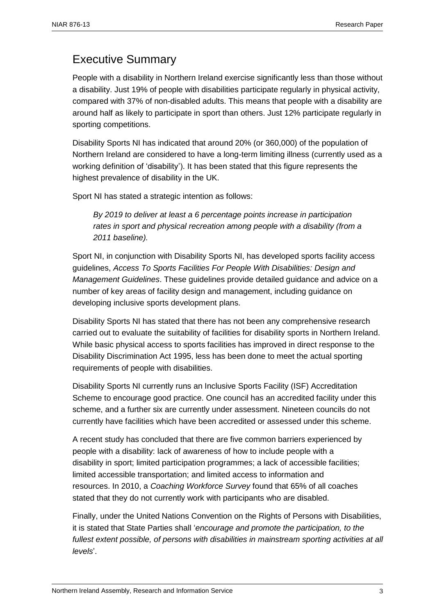## <span id="page-4-0"></span>Executive Summary

People with a disability in Northern Ireland exercise significantly less than those without a disability. Just 19% of people with disabilities participate regularly in physical activity, compared with 37% of non-disabled adults. This means that people with a disability are around half as likely to participate in sport than others. Just 12% participate regularly in sporting competitions.

Disability Sports NI has indicated that around 20% (or 360,000) of the population of Northern Ireland are considered to have a long-term limiting illness (currently used as a working definition of 'disability'). It has been stated that this figure represents the highest prevalence of disability in the UK.

Sport NI has stated a strategic intention as follows:

*By 2019 to deliver at least a 6 percentage points increase in participation rates in sport and physical recreation among people with a disability (from a 2011 baseline).*

Sport NI, in conjunction with Disability Sports NI, has developed sports facility access guidelines, *Access To Sports Facilities For People With Disabilities: Design and Management Guidelines*. These guidelines provide detailed guidance and advice on a number of key areas of facility design and management, including guidance on developing inclusive sports development plans.

Disability Sports NI has stated that there has not been any comprehensive research carried out to evaluate the suitability of facilities for disability sports in Northern Ireland. While basic physical access to sports facilities has improved in direct response to the Disability Discrimination Act 1995, less has been done to meet the actual sporting requirements of people with disabilities.

Disability Sports NI currently runs an Inclusive Sports Facility (ISF) Accreditation Scheme to encourage good practice. One council has an accredited facility under this scheme, and a further six are currently under assessment. Nineteen councils do not currently have facilities which have been accredited or assessed under this scheme.

A recent study has concluded that there are five common barriers experienced by people with a disability: lack of awareness of how to include people with a disability in sport; limited participation programmes; a lack of accessible facilities; limited accessible transportation; and limited access to information and resources. In 2010, a *Coaching Workforce Survey* found that 65% of all coaches stated that they do not currently work with participants who are disabled.

Finally, under the United Nations Convention on the Rights of Persons with Disabilities, it is stated that State Parties shall '*encourage and promote the participation, to the fullest extent possible, of persons with disabilities in mainstream sporting activities at all levels*'.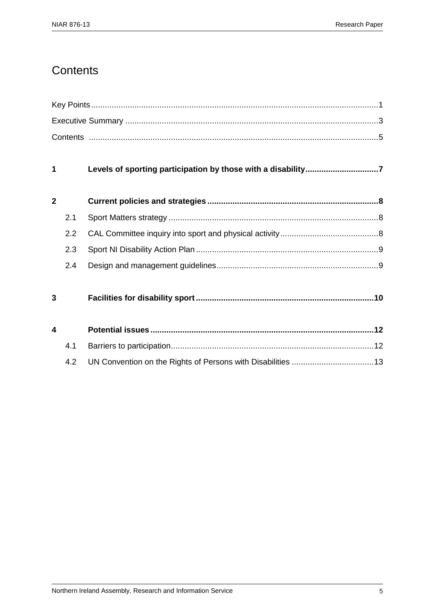## <span id="page-6-0"></span>**Contents**

| 1              |     | Levels of sporting participation by those with a disability7 |  |  |
|----------------|-----|--------------------------------------------------------------|--|--|
| $\overline{2}$ |     |                                                              |  |  |
|                | 2.1 |                                                              |  |  |
|                | 2.2 |                                                              |  |  |
|                | 2.3 |                                                              |  |  |
|                | 2.4 |                                                              |  |  |
| 3              |     |                                                              |  |  |
| 4              |     |                                                              |  |  |
|                | 4.1 |                                                              |  |  |
|                | 4.2 |                                                              |  |  |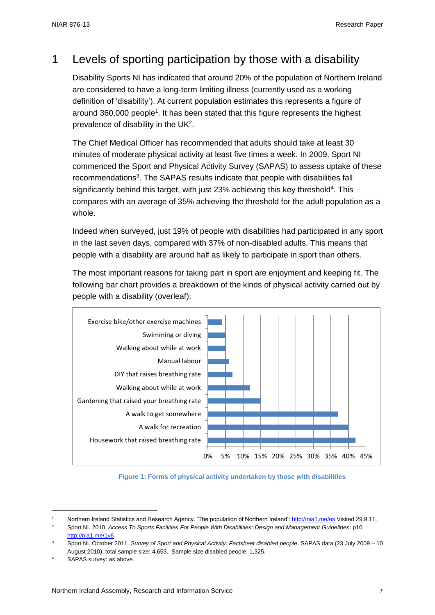## <span id="page-8-0"></span>1 Levels of sporting participation by those with a disability

Disability Sports NI has indicated that around 20% of the population of Northern Ireland are considered to have a long-term limiting illness (currently used as a working definition of 'disability'). At current population estimates this represents a figure of around 360,000 people<sup>1</sup>. It has been stated that this figure represents the highest prevalence of disability in the UK<sup>2</sup>.

The Chief Medical Officer has recommended that adults should take at least 30 minutes of moderate physical activity at least five times a week. In 2009, Sport NI commenced the Sport and Physical Activity Survey (SAPAS) to assess uptake of these recommendations<sup>3</sup>. The SAPAS results indicate that people with disabilities fall significantly behind this target, with just 23% achieving this key threshold<sup>4</sup>. This compares with an average of 35% achieving the threshold for the adult population as a whole.

Indeed when surveyed, just 19% of people with disabilities had participated in any sport in the last seven days, compared with 37% of non-disabled adults. This means that people with a disability are around half as likely to participate in sport than others.

The most important reasons for taking part in sport are enjoyment and keeping fit. The following bar chart provides a breakdown of the kinds of physical activity carried out by people with a disability (overleaf):



 **Figure 1: Forms of physical activity undertaken by those with disabilities**

Northern Ireland Statistics and Research Agency. 'The population of Northern Ireland'[: http://nia1.me/es](http://nia1.me/es) Visited 29.9.11.

<sup>2</sup> Sport NI. 2010. *Access To Sports Facilities For People With Disabilities: Design and Management Guidelines*: p10 <http://nia1.me/1v6>

<sup>3</sup> Sport NI. October 2011. *Survey of Sport and Physical Activity: Factsheet disabled people*. SAPAS data (23 July 2009 – 10 August 2010), total sample size: 4,653. Sample size disabled people: 1,325.

SAPAS survey: as above.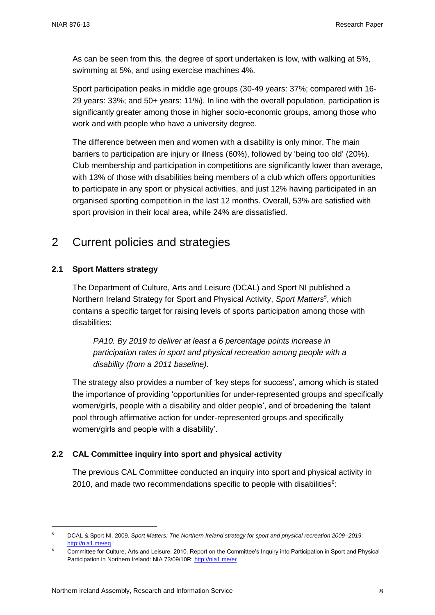As can be seen from this, the degree of sport undertaken is low, with walking at 5%, swimming at 5%, and using exercise machines 4%.

Sport participation peaks in middle age groups (30-49 years: 37%; compared with 16- 29 years: 33%; and 50+ years: 11%). In line with the overall population, participation is significantly greater among those in higher socio-economic groups, among those who work and with people who have a university degree.

The difference between men and women with a disability is only minor. The main barriers to participation are injury or illness (60%), followed by 'being too old' (20%). Club membership and participation in competitions are significantly lower than average, with 13% of those with disabilities being members of a club which offers opportunities to participate in any sport or physical activities, and just 12% having participated in an organised sporting competition in the last 12 months. Overall, 53% are satisfied with sport provision in their local area, while 24% are dissatisfied.

## <span id="page-9-1"></span><span id="page-9-0"></span>2 Current policies and strategies

#### **2.1 Sport Matters strategy**

The Department of Culture, Arts and Leisure (DCAL) and Sport NI published a Northern Ireland Strategy for Sport and Physical Activity, *Sport Matters<sup>5</sup>* , which contains a specific target for raising levels of sports participation among those with disabilities:

*PA10. By 2019 to deliver at least a 6 percentage points increase in participation rates in sport and physical recreation among people with a disability (from a 2011 baseline).*

The strategy also provides a number of 'key steps for success', among which is stated the importance of providing 'opportunities for under-represented groups and specifically women/girls, people with a disability and older people', and of broadening the 'talent pool through affirmative action for under-represented groups and specifically women/girls and people with a disability'.

#### <span id="page-9-2"></span>**2.2 CAL Committee inquiry into sport and physical activity**

The previous CAL Committee conducted an inquiry into sport and physical activity in 2010, and made two recommendations specific to people with disabilities $6$ :

<sup>5</sup> DCAL & Sport NI. 2009. *Sport Matters: The Northern Ireland strategy for sport and physical recreation 2009–2019*: <http://nia1.me/eq>

<sup>&</sup>lt;sup>6</sup> Committee for Culture, Arts and Leisure. 2010. Report on the Committee's Inquiry into Participation in Sport and Physical Participation in Northern Ireland: NIA 73/09/10R[: http://nia1.me/er](http://nia1.me/er)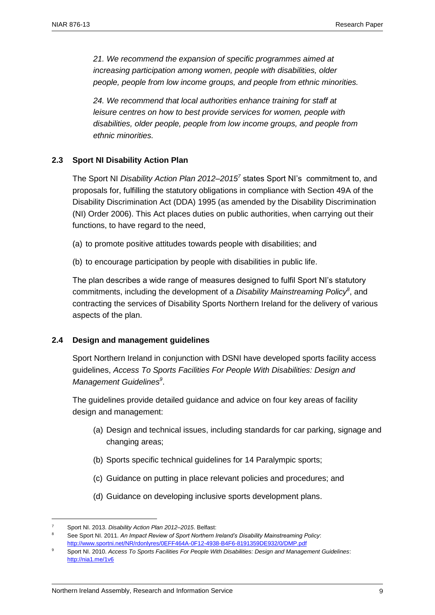*21. We recommend the expansion of specific programmes aimed at increasing participation among women, people with disabilities, older people, people from low income groups, and people from ethnic minorities.*

*24. We recommend that local authorities enhance training for staff at leisure centres on how to best provide services for women, people with disabilities, older people, people from low income groups, and people from ethnic minorities.*

#### <span id="page-10-0"></span>**2.3 Sport NI Disability Action Plan**

The Sport NI *Disability Action Plan 2012–2015<sup>7</sup>* states Sport NI's commitment to, and proposals for, fulfilling the statutory obligations in compliance with Section 49A of the Disability Discrimination Act (DDA) 1995 (as amended by the Disability Discrimination (NI) Order 2006). This Act places duties on public authorities, when carrying out their functions, to have regard to the need,

- (a) to promote positive attitudes towards people with disabilities; and
- (b) to encourage participation by people with disabilities in public life.

The plan describes a wide range of measures designed to fulfil Sport NI's statutory commitments, including the development of a *Disability Mainstreaming Policy<sup>8</sup>* , and contracting the services of Disability Sports Northern Ireland for the delivery of various aspects of the plan.

#### <span id="page-10-1"></span>**2.4 Design and management guidelines**

Sport Northern Ireland in conjunction with DSNI have developed sports facility access guidelines, *Access To Sports Facilities For People With Disabilities: Design and Management Guidelines<sup>9</sup>* .

The guidelines provide detailed guidance and advice on four key areas of facility design and management:

- (a) Design and technical issues, including standards for car parking, signage and changing areas;
- (b) Sports specific technical guidelines for 14 Paralympic sports;
- (c) Guidance on putting in place relevant policies and procedures; and
- (d) Guidance on developing inclusive sports development plans.

 $\overline{a}$ <sup>7</sup> Sport NI. 2013. *Disability Action Plan 2012–2015*. Belfast:

<sup>8</sup> See Sport NI. 2011. *An Impact Review of Sport Northern Ireland's Disability Mainstreaming Policy*: <http://www.sportni.net/NR/rdonlyres/0EFF464A-0F12-4938-B4F6-8191359DE932/0/DMP.pdf>

<sup>9</sup> Sport NI. 2010. *Access To Sports Facilities For People With Disabilities: Design and Management Guidelines*: <http://nia1.me/1v6>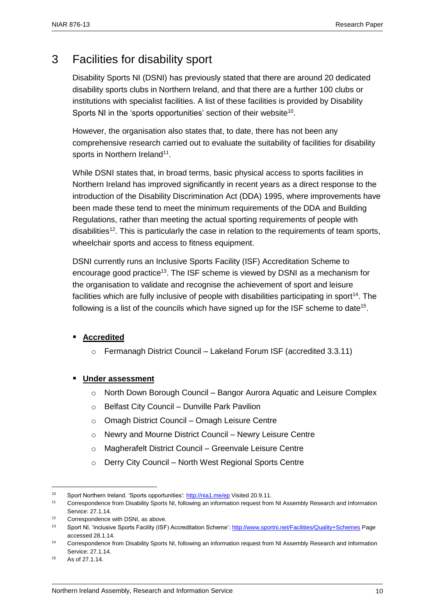## <span id="page-11-0"></span>3 Facilities for disability sport

Disability Sports NI (DSNI) has previously stated that there are around 20 dedicated disability sports clubs in Northern Ireland, and that there are a further 100 clubs or institutions with specialist facilities. A list of these facilities is provided by Disability Sports NI in the 'sports opportunities' section of their website<sup>10</sup>.

However, the organisation also states that, to date, there has not been any comprehensive research carried out to evaluate the suitability of facilities for disability sports in Northern Ireland<sup>11</sup>.

While DSNI states that, in broad terms, basic physical access to sports facilities in Northern Ireland has improved significantly in recent years as a direct response to the introduction of the Disability Discrimination Act (DDA) 1995, where improvements have been made these tend to meet the minimum requirements of the DDA and Building Regulations, rather than meeting the actual sporting requirements of people with disabilities<sup>12</sup>. This is particularly the case in relation to the requirements of team sports, wheelchair sports and access to fitness equipment.

DSNI currently runs an Inclusive Sports Facility (ISF) Accreditation Scheme to encourage good practice<sup>13</sup>. The ISF scheme is viewed by DSNI as a mechanism for the organisation to validate and recognise the achievement of sport and leisure facilities which are fully inclusive of people with disabilities participating in sport<sup>14</sup>. The following is a list of the councils which have signed up for the ISF scheme to date<sup>15</sup>.

#### **Accredited**

o Fermanagh District Council – Lakeland Forum ISF (accredited 3.3.11)

#### **Under assessment**

- o North Down Borough Council Bangor Aurora Aquatic and Leisure Complex
- o Belfast City Council Dunville Park Pavilion
- o Omagh District Council Omagh Leisure Centre
- o Newry and Mourne District Council Newry Leisure Centre
- o Magherafelt District Council Greenvale Leisure Centre
- o Derry City Council North West Regional Sports Centre

<sup>15</sup> As of 27.1.14.

<sup>&</sup>lt;sup>10</sup> Sport Northern Ireland. 'Sports opportunities':<http://nia1.me/ep> Visited 20.9.11.

<sup>11</sup> Correspondence from Disability Sports NI, following an information request from NI Assembly Research and Information Service: 27.1.14

<sup>12</sup> Correspondence with DSNI, as above.

<sup>13</sup> Sport NI. 'Inclusive Sports Facility (ISF) Accreditation Scheme'[: http://www.sportni.net/Facilities/Quality+Schemes](http://www.sportni.net/Facilities/Quality+Schemes) Page accessed 28.1.14.

<sup>14</sup> Correspondence from Disability Sports NI, following an information request from NI Assembly Research and Information Service: 27.1.14.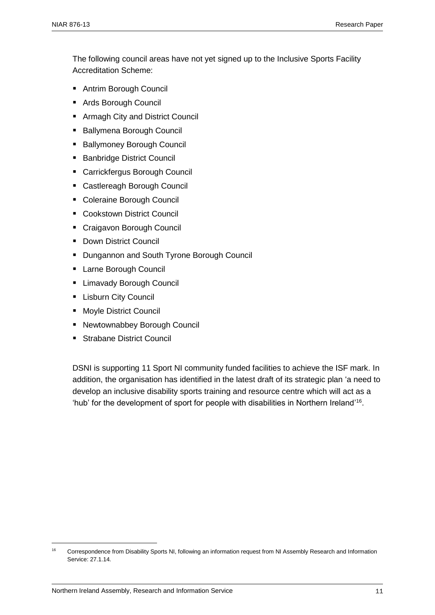The following council areas have not yet signed up to the Inclusive Sports Facility Accreditation Scheme:

- Antrim Borough Council
- Ards Borough Council
- Armagh City and District Council
- Ballymena Borough Council
- Ballymoney Borough Council
- Banbridge District Council
- Carrickfergus Borough Council
- Castlereagh Borough Council
- Coleraine Borough Council
- Cookstown District Council
- Craigavon Borough Council
- **Down District Council**
- **Dungannon and South Tyrone Borough Council**
- **Larne Borough Council**
- **E** Limavady Borough Council
- **Lisburn City Council**
- **Moyle District Council**
- Newtownabbey Borough Council
- **Strabane District Council**

DSNI is supporting 11 Sport NI community funded facilities to achieve the ISF mark. In addition, the organisation has identified in the latest draft of its strategic plan 'a need to develop an inclusive disability sports training and resource centre which will act as a 'hub' for the development of sport for people with disabilities in Northern Ireland' 16 .

<sup>16</sup> Correspondence from Disability Sports NI, following an information request from NI Assembly Research and Information Service: 27.1.14.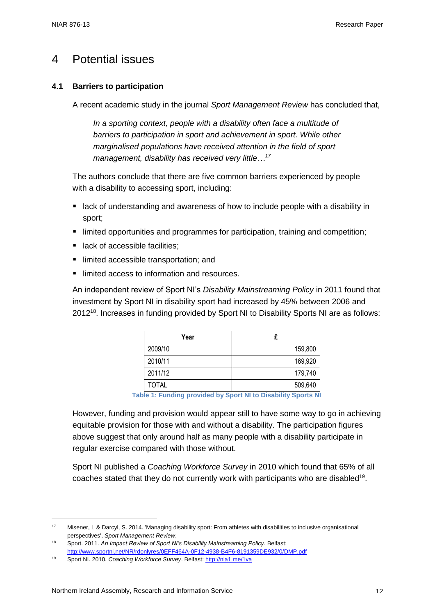## <span id="page-13-1"></span><span id="page-13-0"></span>4 Potential issues

#### **4.1 Barriers to participation**

A recent academic study in the journal *Sport Management Review* has concluded that,

*In a sporting context, people with a disability often face a multitude of barriers to participation in sport and achievement in sport. While other marginalised populations have received attention in the field of sport management, disability has received very little…<sup>17</sup>*

The authors conclude that there are five common barriers experienced by people with a disability to accessing sport, including:

- lack of understanding and awareness of how to include people with a disability in sport;
- **Imited opportunities and programmes for participation, training and competition;**
- lack of accessible facilities:
- limited accessible transportation; and
- limited access to information and resources.

An independent review of Sport NI's *Disability Mainstreaming Policy* in 2011 found that investment by Sport NI in disability sport had increased by 45% between 2006 and 2012<sup>18</sup>. Increases in funding provided by Sport NI to Disability Sports NI are as follows:

| Year         | £       |
|--------------|---------|
| 2009/10      | 159,800 |
| 2010/11      | 169,920 |
| 2011/12      | 179,740 |
| <b>TOTAL</b> | 509,640 |

 **Table 1: Funding provided by Sport NI to Disability Sports NI**

However, funding and provision would appear still to have some way to go in achieving equitable provision for those with and without a disability. The participation figures above suggest that only around half as many people with a disability participate in regular exercise compared with those without.

Sport NI published a *Coaching Workforce Survey* in 2010 which found that 65% of all coaches stated that they do not currently work with participants who are disabled<sup>19</sup>.

<sup>17</sup> Misener, L & Darcyl, S. 2014. 'Managing disability sport: From athletes with disabilities to inclusive organisational perspectives', *Sport Management Review*,

<sup>18</sup> Sport. 2011. *An Impact Review of Sport NI's Disability Mainstreaming Policy*. Belfast: <http://www.sportni.net/NR/rdonlyres/0EFF464A-0F12-4938-B4F6-8191359DE932/0/DMP.pdf>

<sup>19</sup> Sport NI. 2010. *Coaching Workforce Survey*. Belfast[: http://nia1.me/1va](http://nia1.me/1va)